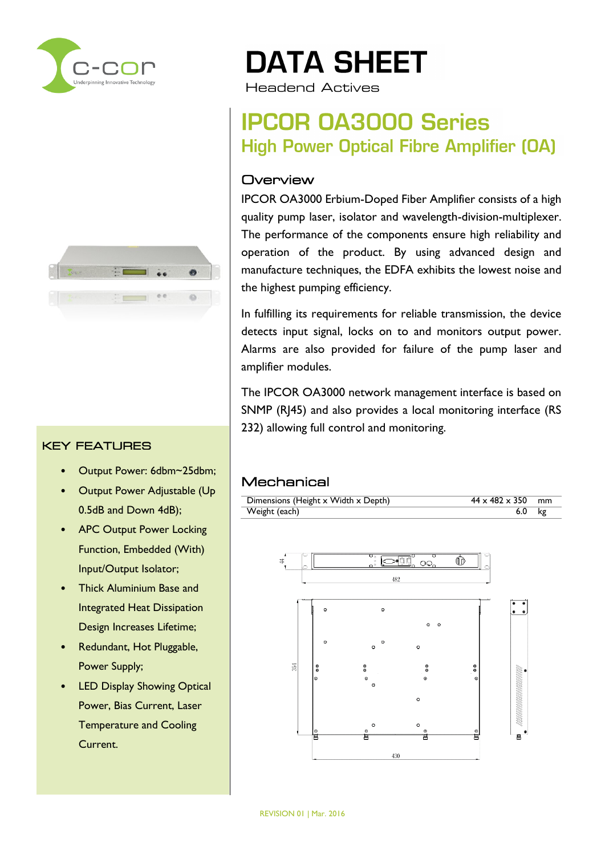



#### KEY FEATURES

- Output Power: 6dbm~25dbm;
- Output Power Adjustable (Up 0.5dB and Down 4dB);
- APC Output Power Locking Function, Embedded (With) Input/Output Isolator;
- Thick Aluminium Base and Integrated Heat Dissipation Design Increases Lifetime;
- Redundant, Hot Pluggable, Power Supply;
- LED Display Showing Optical Power, Bias Current, Laser Temperature and Cooling Current.

# **DATA SHEET**

Headend Actives

### **IPCOR 0A3000 Series High Power Optical Fibre Amplifier (OA)**

#### **Overview**

IPCOR OA3000 Erbium-Doped Fiber Amplifier consists of a high quality pump laser, isolator and wavelength-division-multiplexer. The performance of the components ensure high reliability and operation of the product. By using advanced design and manufacture techniques, the EDFA exhibits the lowest noise and the highest pumping efficiency.

In fulfilling its requirements for reliable transmission, the device detects input signal, locks on to and monitors output power. Alarms are also provided for failure of the pump laser and amplifier modules.

The IPCOR OA3000 network management interface is based on SNMP (RJ45) and also provides a local monitoring interface (RS 232) allowing full control and monitoring.

#### **Mechanical**

| Dimensions (Height x Width x Depth) | $44 \times 482 \times 350$ mm |    |
|-------------------------------------|-------------------------------|----|
| Weight (each)                       | 6.0                           | kg |

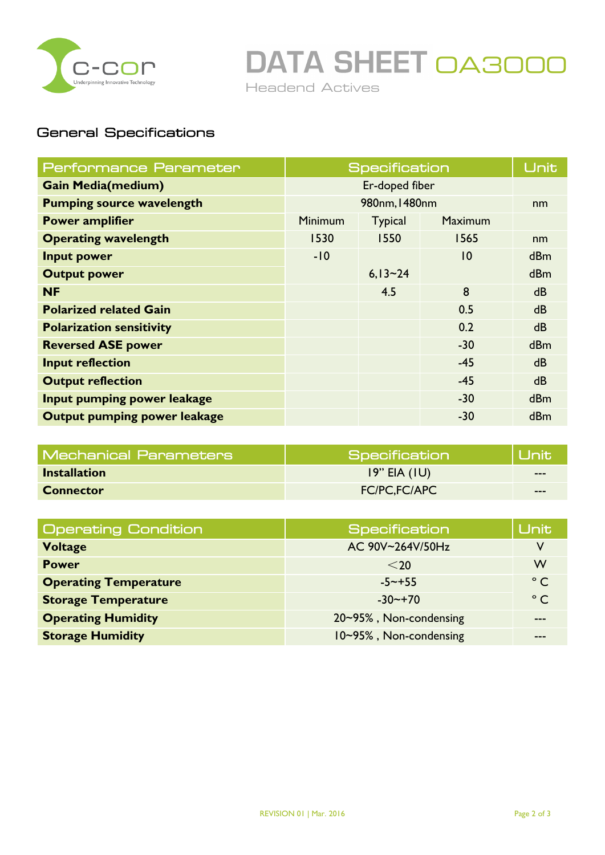

**DATA SHEET OA3000** 

Headend Actives

#### General Specifications

| Performance Parameter               |                | <b>Specification</b> |                 | Unit           |
|-------------------------------------|----------------|----------------------|-----------------|----------------|
| <b>Gain Media(medium)</b>           | Er-doped fiber |                      |                 |                |
| <b>Pumping source wavelength</b>    | 980nm, 1480nm  |                      | nm              |                |
| <b>Power amplifier</b>              | <b>Minimum</b> | <b>Typical</b>       | <b>Maximum</b>  |                |
| <b>Operating wavelength</b>         | 1530           | 1550                 | 1565            | nm             |
| <b>Input power</b>                  | $-10$          |                      | $\overline{10}$ | <b>dBm</b>     |
| <b>Output power</b>                 |                | $6,13-24$            |                 | <b>dBm</b>     |
| <b>NF</b>                           |                | 4.5                  | 8               | d <sub>B</sub> |
| <b>Polarized related Gain</b>       |                |                      | 0.5             | <b>dB</b>      |
| <b>Polarization sensitivity</b>     |                |                      | 0.2             | d <sub>B</sub> |
| <b>Reversed ASE power</b>           |                |                      | $-30$           | dBm            |
| <b>Input reflection</b>             |                |                      | $-45$           | dB             |
| <b>Output reflection</b>            |                |                      | $-45$           | d <sub>B</sub> |
| Input pumping power leakage         |                |                      | $-30$           | dBm            |
| <b>Output pumping power leakage</b> |                |                      | $-30$           | dBm            |

| <b>Mechanical Parameters</b> | Specification       | <b>NUnitN</b> |
|------------------------------|---------------------|---------------|
| <b>Installation</b>          | $19"$ EIA (IU)      | $--$          |
| <b>Connector</b>             | <b>FC/PC,FC/APC</b> | $- - -$       |

| <b>Operating Condition</b>   | <b>Specification</b>   | <b>Unit</b>  |
|------------------------------|------------------------|--------------|
| <b>Voltage</b>               | AC 90V~264V/50Hz       |              |
| <b>Power</b>                 | $<$ 20                 | W            |
| <b>Operating Temperature</b> | $-5 \sim +55$          | $^{\circ}$ C |
| <b>Storage Temperature</b>   | $-30$ $-+70$           | $^{\circ}$ C |
| <b>Operating Humidity</b>    | 20~95%, Non-condensing |              |
| <b>Storage Humidity</b>      | 10~95%, Non-condensing |              |